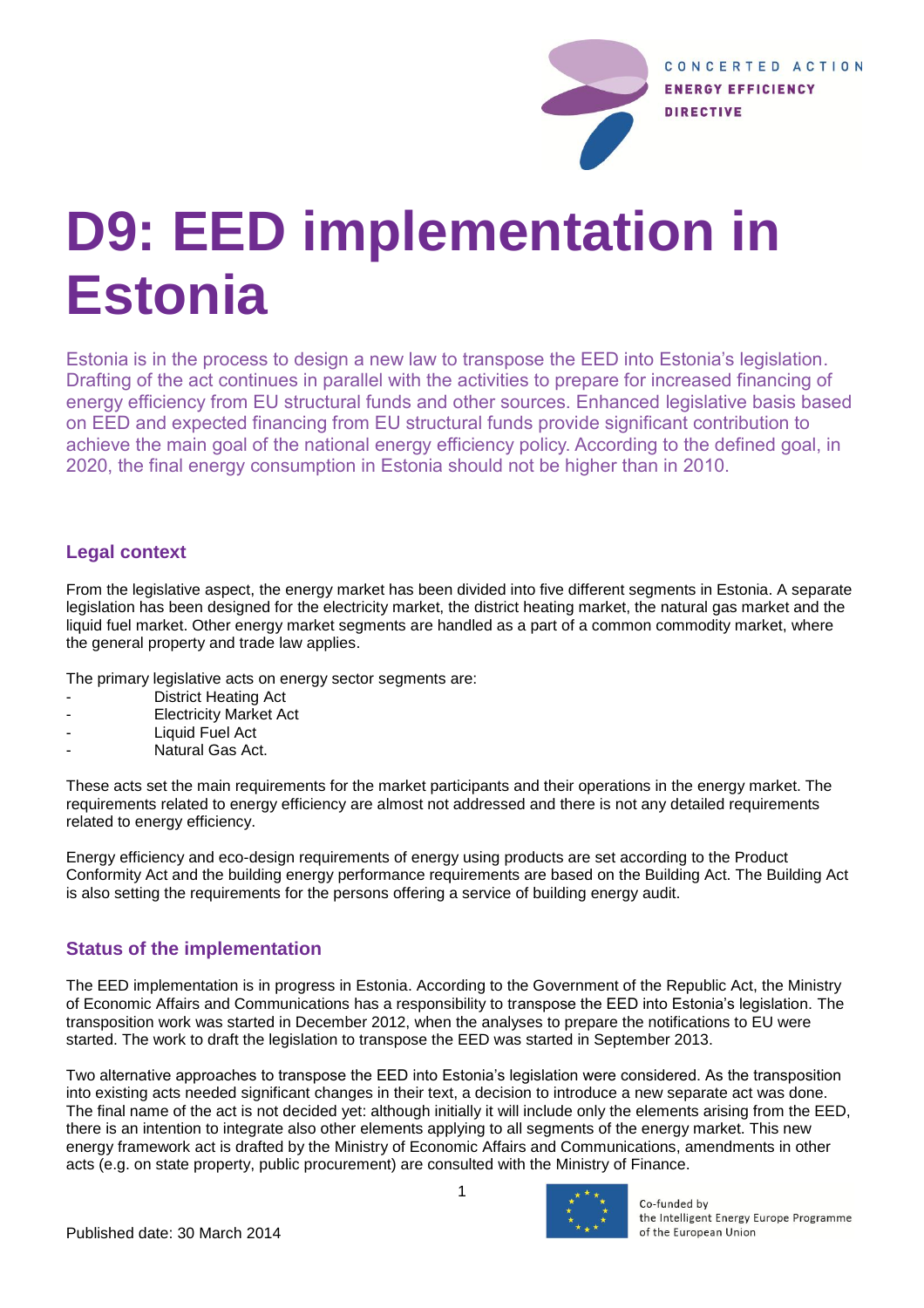

# **D9: EED implementation in Estonia**

Estonia is in the process to design a new law to transpose the EED into Estonia's legislation. Drafting of the act continues in parallel with the activities to prepare for increased financing of energy efficiency from EU structural funds and other sources. Enhanced legislative basis based on EED and expected financing from EU structural funds provide significant contribution to achieve the main goal of the national energy efficiency policy. According to the defined goal, in 2020, the final energy consumption in Estonia should not be higher than in 2010.

## **Legal context**

From the legislative aspect, the energy market has been divided into five different segments in Estonia. A separate legislation has been designed for the electricity market, the district heating market, the natural gas market and the liquid fuel market. Other energy market segments are handled as a part of a common commodity market, where the general property and trade law applies.

The primary legislative acts on energy sector segments are:

- District Heating Act
- **Electricity Market Act**
- Liquid Fuel Act
- Natural Gas Act.

These acts set the main requirements for the market participants and their operations in the energy market. The requirements related to energy efficiency are almost not addressed and there is not any detailed requirements related to energy efficiency.

Energy efficiency and eco-design requirements of energy using products are set according to the Product Conformity Act and the building energy performance requirements are based on the Building Act. The Building Act is also setting the requirements for the persons offering a service of building energy audit.

## **Status of the implementation**

The EED implementation is in progress in Estonia. According to the Government of the Republic Act, the Ministry of Economic Affairs and Communications has a responsibility to transpose the EED into Estonia's legislation. The transposition work was started in December 2012, when the analyses to prepare the notifications to EU were started. The work to draft the legislation to transpose the EED was started in September 2013.

Two alternative approaches to transpose the EED into Estonia's legislation were considered. As the transposition into existing acts needed significant changes in their text, a decision to introduce a new separate act was done. The final name of the act is not decided yet: although initially it will include only the elements arising from the EED, there is an intention to integrate also other elements applying to all segments of the energy market. This new energy framework act is drafted by the Ministry of Economic Affairs and Communications, amendments in other acts (e.g. on state property, public procurement) are consulted with the Ministry of Finance.



Co-funded by the Intelligent Energy Europe Programme of the European Union